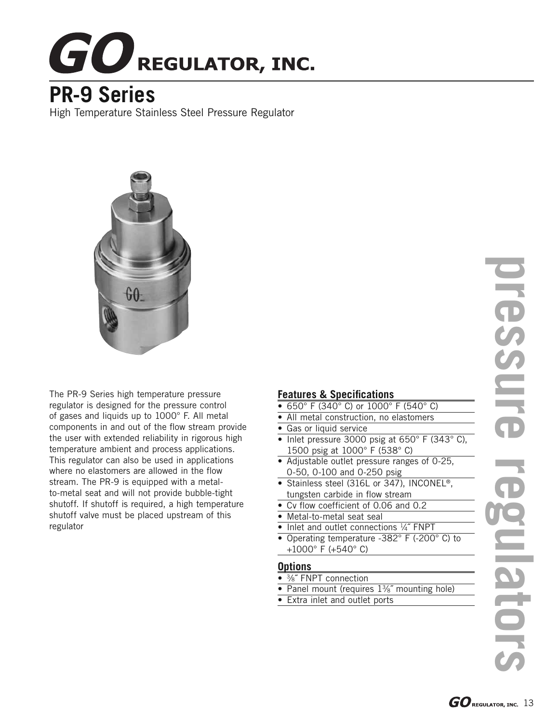# **GO** REGULATOR, INC.

## **PR-9 Series**

High Temperature Stainless Steel Pressure Regulator



The PR-9 Series high temperature pressure regulator is designed for the pressure control of gases and liquids up to 1000° F. All metal components in and out of the flow stream provide the user with extended reliability in rigorous high temperature ambient and process applications. This regulator can also be used in applications where no elastomers are allowed in the flow stream. The PR-9 is equipped with a metalto-metal seat and will not provide bubble-tight shutoff. If shutoff is required, a high temperature shutoff valve must be placed upstream of this regulator

#### **Features & Specifications**

- 650° F (340° C) or 1000° F (540° C)
- All metal construction, no elastomers
- Gas or liquid service
- Inlet pressure 3000 psig at  $650^{\circ}$  F (343 $^{\circ}$  C), 1500 psig at 1000° F (538° C)
- Adjustable outlet pressure ranges of 0-25, 0-50, 0-100 and 0-250 psig
- Stainless steel (316L or 347), INCONEL®, tungsten carbide in flow stream
- Cv flow coefficient of 0.06 and 0.2
- Metal-to-metal seat seal
- Inlet and outlet connections 1/4" FNPT
- Operating temperature -382° F (-200° C) to +1000° F (+540° C)

#### **Options**

- 3/8" FNPT connection
- Panel mount (requires 1%" mounting hole)
- Extra inlet and outlet ports